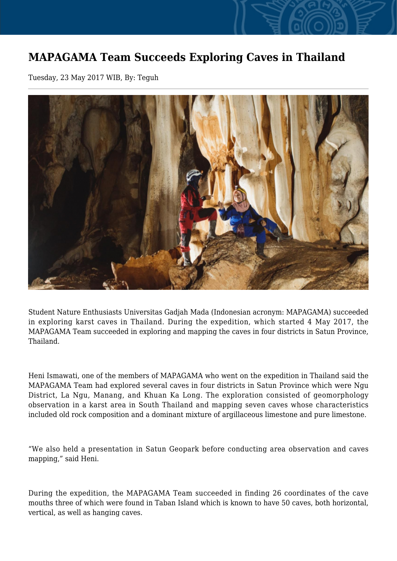## **MAPAGAMA Team Succeeds Exploring Caves in Thailand**

Tuesday, 23 May 2017 WIB, By: Teguh



Student Nature Enthusiasts Universitas Gadjah Mada (Indonesian acronym: MAPAGAMA) succeeded in exploring karst caves in Thailand. During the expedition, which started 4 May 2017, the MAPAGAMA Team succeeded in exploring and mapping the caves in four districts in Satun Province, Thailand.

Heni Ismawati, one of the members of MAPAGAMA who went on the expedition in Thailand said the MAPAGAMA Team had explored several caves in four districts in Satun Province which were Ngu District, La Ngu, Manang, and Khuan Ka Long. The exploration consisted of geomorphology observation in a karst area in South Thailand and mapping seven caves whose characteristics included old rock composition and a dominant mixture of argillaceous limestone and pure limestone.

"We also held a presentation in Satun Geopark before conducting area observation and caves mapping," said Heni.

During the expedition, the MAPAGAMA Team succeeded in finding 26 coordinates of the cave mouths three of which were found in Taban Island which is known to have 50 caves, both horizontal, vertical, as well as hanging caves.